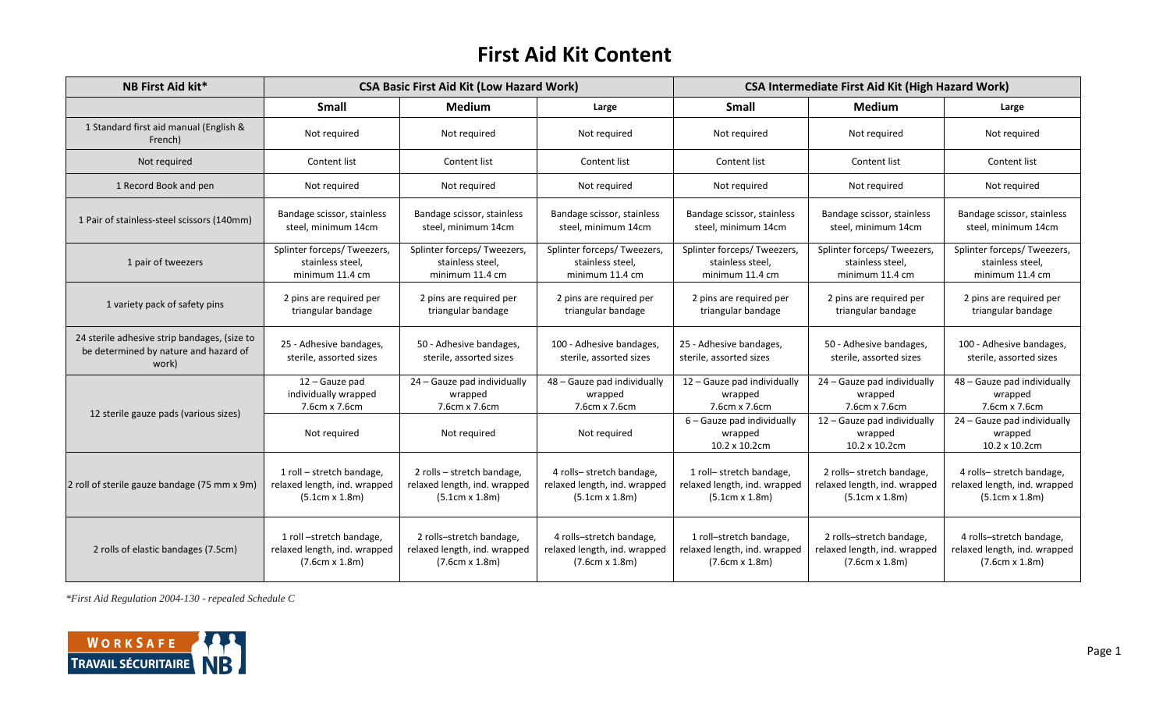## **First Aid Kit Content**

| <b>NB First Aid kit*</b>                                                                       | <b>CSA Basic First Aid Kit (Low Hazard Work)</b>                                  |                                                                                   |                                                                                   | <b>CSA Intermediate First Aid Kit (High Hazard Work)</b>                          |                                                                                   |                                                                                    |
|------------------------------------------------------------------------------------------------|-----------------------------------------------------------------------------------|-----------------------------------------------------------------------------------|-----------------------------------------------------------------------------------|-----------------------------------------------------------------------------------|-----------------------------------------------------------------------------------|------------------------------------------------------------------------------------|
|                                                                                                | <b>Small</b>                                                                      | <b>Medium</b>                                                                     | Large                                                                             | <b>Small</b>                                                                      | <b>Medium</b>                                                                     | Large                                                                              |
| 1 Standard first aid manual (English &<br>French)                                              | Not required                                                                      | Not required                                                                      | Not required                                                                      | Not required                                                                      | Not required                                                                      | Not required                                                                       |
| Not required                                                                                   | Content list                                                                      | Content list                                                                      | Content list                                                                      | Content list                                                                      | Content list                                                                      | Content list                                                                       |
| 1 Record Book and pen                                                                          | Not required                                                                      | Not required                                                                      | Not required                                                                      | Not required                                                                      | Not required                                                                      | Not required                                                                       |
| 1 Pair of stainless-steel scissors (140mm)                                                     | Bandage scissor, stainless<br>steel, minimum 14cm                                 | Bandage scissor, stainless<br>steel, minimum 14cm                                 | Bandage scissor, stainless<br>steel, minimum 14cm                                 | Bandage scissor, stainless<br>steel, minimum 14cm                                 | Bandage scissor, stainless<br>steel, minimum 14cm                                 | Bandage scissor, stainless<br>steel, minimum 14cm                                  |
| 1 pair of tweezers                                                                             | Splinter forceps/ Tweezers,<br>stainless steel,<br>minimum 11.4 cm                | Splinter forceps/ Tweezers<br>stainless steel,<br>minimum 11.4 cm                 | Splinter forceps/ Tweezers,<br>stainless steel,<br>minimum 11.4 cm                | Splinter forceps/ Tweezers,<br>stainless steel,<br>minimum 11.4 cm                | Splinter forceps/ Tweezers,<br>stainless steel,<br>minimum 11.4 cm                | Splinter forceps/ Tweezers,<br>stainless steel,<br>minimum 11.4 cm                 |
| 1 variety pack of safety pins                                                                  | 2 pins are required per<br>triangular bandage                                     | 2 pins are required per<br>triangular bandage                                     | 2 pins are required per<br>triangular bandage                                     | 2 pins are required per<br>triangular bandage                                     | 2 pins are required per<br>triangular bandage                                     | 2 pins are required per<br>triangular bandage                                      |
| 24 sterile adhesive strip bandages, (size to<br>be determined by nature and hazard of<br>work) | 25 - Adhesive bandages,<br>sterile, assorted sizes                                | 50 - Adhesive bandages,<br>sterile, assorted sizes                                | 100 - Adhesive bandages,<br>sterile, assorted sizes                               | 25 - Adhesive bandages,<br>sterile, assorted sizes                                | 50 - Adhesive bandages,<br>sterile, assorted sizes                                | 100 - Adhesive bandages,<br>sterile, assorted sizes                                |
| 12 sterile gauze pads (various sizes)                                                          | 12 - Gauze pad<br>individually wrapped<br>7.6cm x 7.6cm                           | 24 - Gauze pad individually<br>wrapped<br>7.6cm x 7.6cm                           | 48 - Gauze pad individually<br>wrapped<br>7.6cm x 7.6cm                           | 12 - Gauze pad individually<br>wrapped<br>7.6cm x 7.6cm                           | 24 - Gauze pad individually<br>wrapped<br>7.6cm x 7.6cm                           | 48 - Gauze pad individually<br>wrapped<br>7.6cm x 7.6cm                            |
|                                                                                                | Not required                                                                      | Not required                                                                      | Not required                                                                      | 6 - Gauze pad individually<br>wrapped<br>10.2 x 10.2cm                            | 12 - Gauze pad individually<br>wrapped<br>10.2 x 10.2cm                           | 24 - Gauze pad individually<br>wrapped<br>10.2 x 10.2cm                            |
| 2 roll of sterile gauze bandage (75 mm x 9m)                                                   | 1 roll - stretch bandage,<br>relaxed length, ind. wrapped<br>(5.1cm x 1.8m)       | 2 rolls - stretch bandage,<br>relaxed length, ind. wrapped<br>(5.1cm x 1.8m)      | 4 rolls-stretch bandage,<br>relaxed length, ind. wrapped<br>$(5.1cm \times 1.8m)$ | 1 roll- stretch bandage,<br>relaxed length, ind. wrapped<br>$(5.1cm \times 1.8m)$ | 2 rolls-stretch bandage,<br>relaxed length, ind. wrapped<br>$(5.1cm \times 1.8m)$ | 4 rolls- stretch bandage,<br>relaxed length, ind. wrapped<br>$(5.1cm \times 1.8m)$ |
| 2 rolls of elastic bandages (7.5cm)                                                            | 1 roll -stretch bandage,<br>relaxed length, ind. wrapped<br>$(7.6cm \times 1.8m)$ | 2 rolls-stretch bandage,<br>relaxed length, ind. wrapped<br>$(7.6cm \times 1.8m)$ | 4 rolls-stretch bandage,<br>relaxed length, ind. wrapped<br>$(7.6cm \times 1.8m)$ | 1 roll-stretch bandage,<br>relaxed length, ind. wrapped<br>$(7.6cm \times 1.8m)$  | 2 rolls-stretch bandage,<br>relaxed length, ind. wrapped<br>$(7.6cm \times 1.8m)$ | 4 rolls-stretch bandage,<br>relaxed length, ind. wrapped<br>$(7.6cm \times 1.8m)$  |

*\*First Aid Regulation 2004-130 - repealed Schedule C*

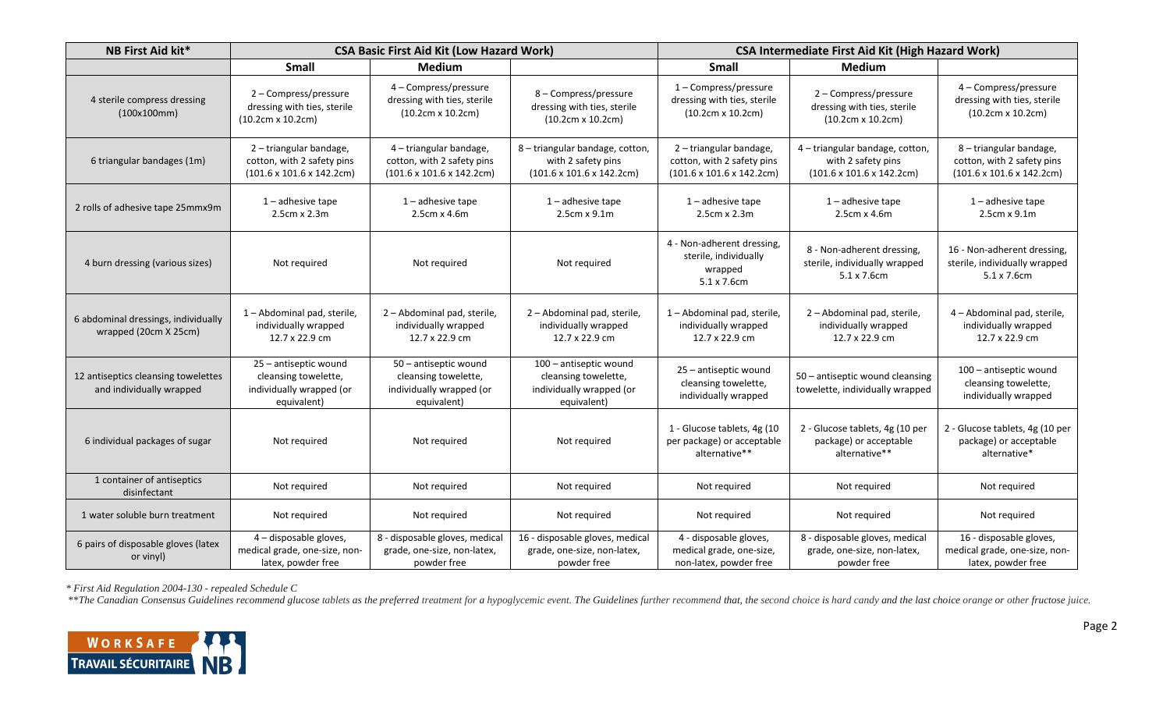| <b>NB First Aid kit*</b>                                        | <b>CSA Basic First Aid Kit (Low Hazard Work)</b>                                                |                                                                                                 |                                                                                                 | <b>CSA Intermediate First Aid Kit (High Hazard Work)</b>                                        |                                                                                                 |                                                                                                 |
|-----------------------------------------------------------------|-------------------------------------------------------------------------------------------------|-------------------------------------------------------------------------------------------------|-------------------------------------------------------------------------------------------------|-------------------------------------------------------------------------------------------------|-------------------------------------------------------------------------------------------------|-------------------------------------------------------------------------------------------------|
|                                                                 | <b>Small</b>                                                                                    | <b>Medium</b>                                                                                   |                                                                                                 | <b>Small</b>                                                                                    | Medium                                                                                          |                                                                                                 |
| 4 sterile compress dressing<br>(100x100mm)                      | 2 - Compress/pressure<br>dressing with ties, sterile<br>$(10.2cm \times 10.2cm)$                | 4 - Compress/pressure<br>dressing with ties, sterile<br>$(10.2cm \times 10.2cm)$                | 8 - Compress/pressure<br>dressing with ties, sterile<br>$(10.2cm \times 10.2cm)$                | 1-Compress/pressure<br>dressing with ties, sterile<br>$(10.2cm \times 10.2cm)$                  | 2 - Compress/pressure<br>dressing with ties, sterile<br>$(10.2cm \times 10.2cm)$                | 4 - Compress/pressure<br>dressing with ties, sterile<br>$(10.2cm \times 10.2cm)$                |
| 6 triangular bandages (1m)                                      | 2 - triangular bandage,<br>cotton, with 2 safety pins<br>$(101.6 \times 101.6 \times 142.2$ cm) | 4 - triangular bandage,<br>cotton, with 2 safety pins<br>$(101.6 \times 101.6 \times 142.2$ cm) | 8 - triangular bandage, cotton,<br>with 2 safety pins<br>$(101.6 \times 101.6 \times 142.2$ cm) | 2 - triangular bandage,<br>cotton, with 2 safety pins<br>$(101.6 \times 101.6 \times 142.2$ cm) | 4 - triangular bandage, cotton,<br>with 2 safety pins<br>$(101.6 \times 101.6 \times 142.2$ cm) | 8 - triangular bandage,<br>cotton, with 2 safety pins<br>$(101.6 \times 101.6 \times 142.2$ cm) |
| 2 rolls of adhesive tape 25mmx9m                                | $1$ – adhesive tape<br>$2.5cm \times 2.3m$                                                      | $1$ – adhesive tape<br>2.5cm x 4.6m                                                             | $1$ – adhesive tape<br>$2.5cm \times 9.1m$                                                      | $1$ – adhesive tape<br>$2.5cm \times 2.3m$                                                      | $1$ – adhesive tape<br>2.5cm x 4.6m                                                             | $1$ – adhesive tape<br>$2.5cm \times 9.1m$                                                      |
| 4 burn dressing (various sizes)                                 | Not required                                                                                    | Not required                                                                                    | Not required                                                                                    | 4 - Non-adherent dressing,<br>sterile, individually<br>wrapped<br>5.1 x 7.6cm                   | 8 - Non-adherent dressing,<br>sterile, individually wrapped<br>5.1 x 7.6cm                      | 16 - Non-adherent dressing,<br>sterile, individually wrapped<br>$5.1 \times 7.6$ cm             |
| 6 abdominal dressings, individually<br>wrapped (20cm X 25cm)    | 1 - Abdominal pad, sterile,<br>individually wrapped<br>12.7 x 22.9 cm                           | 2 - Abdominal pad, sterile,<br>individually wrapped<br>12.7 x 22.9 cm                           | 2 - Abdominal pad, sterile,<br>individually wrapped<br>12.7 x 22.9 cm                           | 1 - Abdominal pad, sterile,<br>individually wrapped<br>12.7 x 22.9 cm                           | 2 - Abdominal pad, sterile,<br>individually wrapped<br>12.7 x 22.9 cm                           | 4 - Abdominal pad, sterile,<br>individually wrapped<br>12.7 x 22.9 cm                           |
| 12 antiseptics cleansing towelettes<br>and individually wrapped | 25 - antiseptic wound<br>cleansing towelette,<br>individually wrapped (or<br>equivalent)        | 50 - antiseptic wound<br>cleansing towelette,<br>individually wrapped (or<br>equivalent)        | 100 - antiseptic wound<br>cleansing towelette,<br>individually wrapped (or<br>equivalent)       | 25 - antiseptic wound<br>cleansing towelette,<br>individually wrapped                           | 50 - antiseptic wound cleansing<br>towelette, individually wrapped                              | 100 - antiseptic wound<br>cleansing towelette,<br>individually wrapped                          |
| 6 individual packages of sugar                                  | Not required                                                                                    | Not required                                                                                    | Not required                                                                                    | 1 - Glucose tablets, 4g (10<br>per package) or acceptable<br>alternative**                      | 2 - Glucose tablets, 4g (10 per<br>package) or acceptable<br>alternative**                      | 2 - Glucose tablets, 4g (10 per<br>package) or acceptable<br>alternative*                       |
| 1 container of antiseptics<br>disinfectant                      | Not required                                                                                    | Not required                                                                                    | Not required                                                                                    | Not required                                                                                    | Not required                                                                                    | Not required                                                                                    |
| 1 water soluble burn treatment                                  | Not required                                                                                    | Not required                                                                                    | Not required                                                                                    | Not required                                                                                    | Not required                                                                                    | Not required                                                                                    |
| 6 pairs of disposable gloves (latex<br>or vinyl)                | 4 - disposable gloves,<br>medical grade, one-size, non-<br>latex, powder free                   | 8 - disposable gloves, medical<br>grade, one-size, non-latex,<br>powder free                    | 16 - disposable gloves, medical<br>grade, one-size, non-latex,<br>powder free                   | 4 - disposable gloves,<br>medical grade, one-size,<br>non-latex, powder free                    | 8 - disposable gloves, medical<br>grade, one-size, non-latex,<br>powder free                    | 16 - disposable gloves,<br>medical grade, one-size, non-<br>latex, powder free                  |

*\* First Aid Regulation 2004-130 - repealed Schedule C*

\*\*The Canadian Consensus Guidelines recommend glucose tablets as the preferred treatment for a hypoglycemic event. The Guidelines further recommend that, the second choice is hard candy and the last choice orange or other

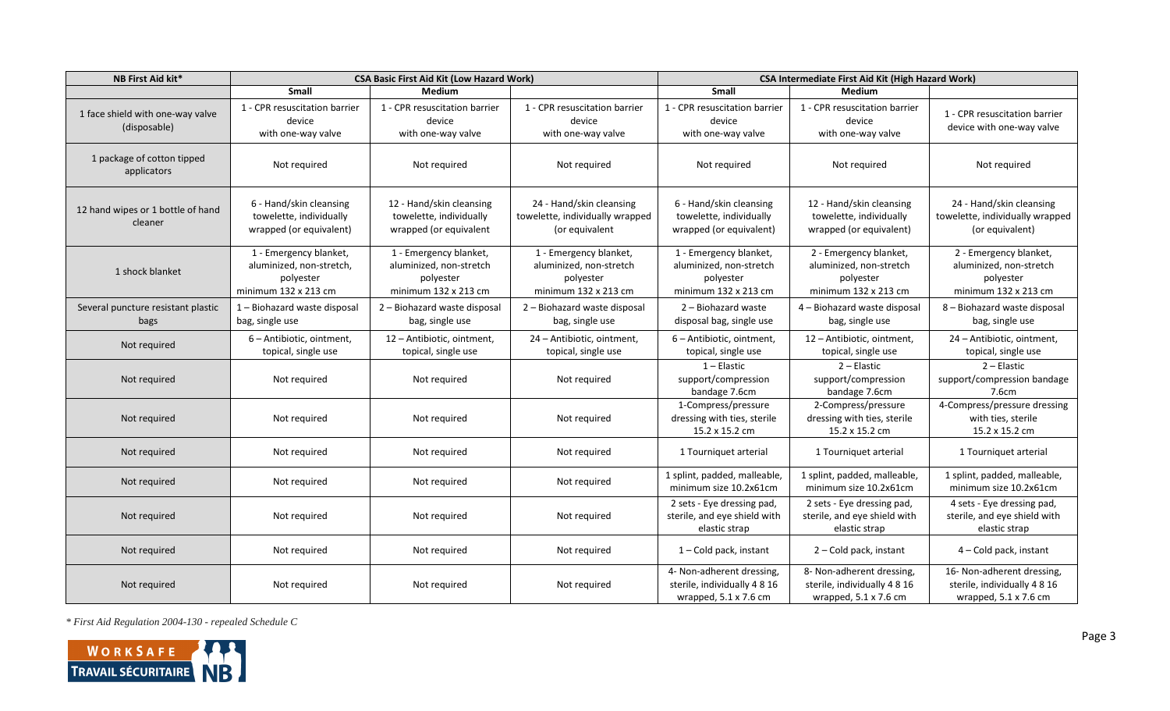| <b>NB First Aid kit*</b>                         | <b>CSA Basic First Aid Kit (Low Hazard Work)</b>                                        |                                                                                        |                                                                                        | <b>CSA Intermediate First Aid Kit (High Hazard Work)</b>                                  |                                                                                           |                                                                                            |
|--------------------------------------------------|-----------------------------------------------------------------------------------------|----------------------------------------------------------------------------------------|----------------------------------------------------------------------------------------|-------------------------------------------------------------------------------------------|-------------------------------------------------------------------------------------------|--------------------------------------------------------------------------------------------|
|                                                  | Small                                                                                   | <b>Medium</b>                                                                          |                                                                                        | Small                                                                                     | Medium                                                                                    |                                                                                            |
| 1 face shield with one-way valve<br>(disposable) | 1 - CPR resuscitation barrier<br>device<br>with one-way valve                           | 1 - CPR resuscitation barrier<br>device<br>with one-way valve                          | 1 - CPR resuscitation barrier<br>device<br>with one-way valve                          | 1 - CPR resuscitation barrier<br>device<br>with one-way valve                             | 1 - CPR resuscitation barrier<br>device<br>with one-way valve                             | 1 - CPR resuscitation barrier<br>device with one-way valve                                 |
| 1 package of cotton tipped<br>applicators        | Not required                                                                            | Not required                                                                           | Not required                                                                           | Not required                                                                              | Not required                                                                              | Not required                                                                               |
| 12 hand wipes or 1 bottle of hand<br>cleaner     | 6 - Hand/skin cleansing<br>towelette, individually<br>wrapped (or equivalent)           | 12 - Hand/skin cleansing<br>towelette, individually<br>wrapped (or equivalent          | 24 - Hand/skin cleansing<br>towelette, individually wrapped<br>(or equivalent          | 6 - Hand/skin cleansing<br>towelette, individually<br>wrapped (or equivalent)             | 12 - Hand/skin cleansing<br>towelette, individually<br>wrapped (or equivalent)            | 24 - Hand/skin cleansing<br>towelette, individually wrapped<br>(or equivalent)             |
| 1 shock blanket                                  | 1 - Emergency blanket,<br>aluminized, non-stretch,<br>polyester<br>minimum 132 x 213 cm | 1 - Emergency blanket,<br>aluminized, non-stretch<br>polyester<br>minimum 132 x 213 cm | 1 - Emergency blanket,<br>aluminized, non-stretch<br>polyester<br>minimum 132 x 213 cm | 1 - Emergency blanket,<br>aluminized, non-stretch<br>polyester<br>minimum 132 x 213 cm    | 2 - Emergency blanket,<br>aluminized, non-stretch<br>polyester<br>minimum 132 x 213 cm    | 2 - Emergency blanket,<br>aluminized, non-stretch<br>polyester<br>minimum 132 x 213 cm     |
| Several puncture resistant plastic<br>bags       | 1 - Biohazard waste disposal<br>bag, single use                                         | 2 - Biohazard waste disposal<br>bag, single use                                        | 2 - Biohazard waste disposal<br>bag, single use                                        | 2 - Biohazard waste<br>disposal bag, single use                                           | 4 - Biohazard waste disposal<br>bag, single use                                           | 8 - Biohazard waste disposal<br>bag, single use                                            |
| Not required                                     | 6 - Antibiotic, ointment,<br>topical, single use                                        | 12 - Antibiotic, ointment,<br>topical, single use                                      | 24 - Antibiotic, ointment,<br>topical, single use                                      | 6 - Antibiotic, ointment,<br>topical, single use                                          | 12 - Antibiotic, ointment,<br>topical, single use                                         | 24 - Antibiotic, ointment,<br>topical, single use                                          |
| Not required                                     | Not required                                                                            | Not required                                                                           | Not required                                                                           | $1 -$ Elastic<br>support/compression<br>bandage 7.6cm                                     | $2$ – Elastic<br>support/compression<br>bandage 7.6cm                                     | $2$ – Elastic<br>support/compression bandage<br>7.6cm                                      |
| Not required                                     | Not required                                                                            | Not required                                                                           | Not required                                                                           | 1-Compress/pressure<br>dressing with ties, sterile<br>15.2 x 15.2 cm                      | 2-Compress/pressure<br>dressing with ties, sterile<br>15.2 x 15.2 cm                      | 4-Compress/pressure dressing<br>with ties, sterile<br>15.2 x 15.2 cm                       |
| Not required                                     | Not required                                                                            | Not required                                                                           | Not required                                                                           | 1 Tourniquet arterial                                                                     | 1 Tourniquet arterial                                                                     | 1 Tourniquet arterial                                                                      |
| Not required                                     | Not required                                                                            | Not required                                                                           | Not required                                                                           | 1 splint, padded, malleable,<br>minimum size 10.2x61cm                                    | 1 splint, padded, malleable,<br>minimum size 10.2x61cm                                    | 1 splint, padded, malleable,<br>minimum size 10.2x61cm                                     |
| Not required                                     | Not required                                                                            | Not required                                                                           | Not required                                                                           | 2 sets - Eye dressing pad,<br>sterile, and eye shield with<br>elastic strap               | 2 sets - Eye dressing pad,<br>sterile, and eye shield with<br>elastic strap               | 4 sets - Eye dressing pad,<br>sterile, and eye shield with<br>elastic strap                |
| Not required                                     | Not required                                                                            | Not required                                                                           | Not required                                                                           | $1 -$ Cold pack, instant                                                                  | 2 – Cold pack, instant                                                                    | 4 - Cold pack, instant                                                                     |
| Not required                                     | Not required                                                                            | Not required                                                                           | Not required                                                                           | 4- Non-adherent dressing,<br>sterile, individually 4 8 16<br>wrapped, $5.1 \times 7.6$ cm | 8- Non-adherent dressing,<br>sterile, individually 4 8 16<br>wrapped, $5.1 \times 7.6$ cm | 16- Non-adherent dressing,<br>sterile, individually 4 8 16<br>wrapped, $5.1 \times 7.6$ cm |

*\* First Aid Regulation 2004-130 - repealed Schedule C*